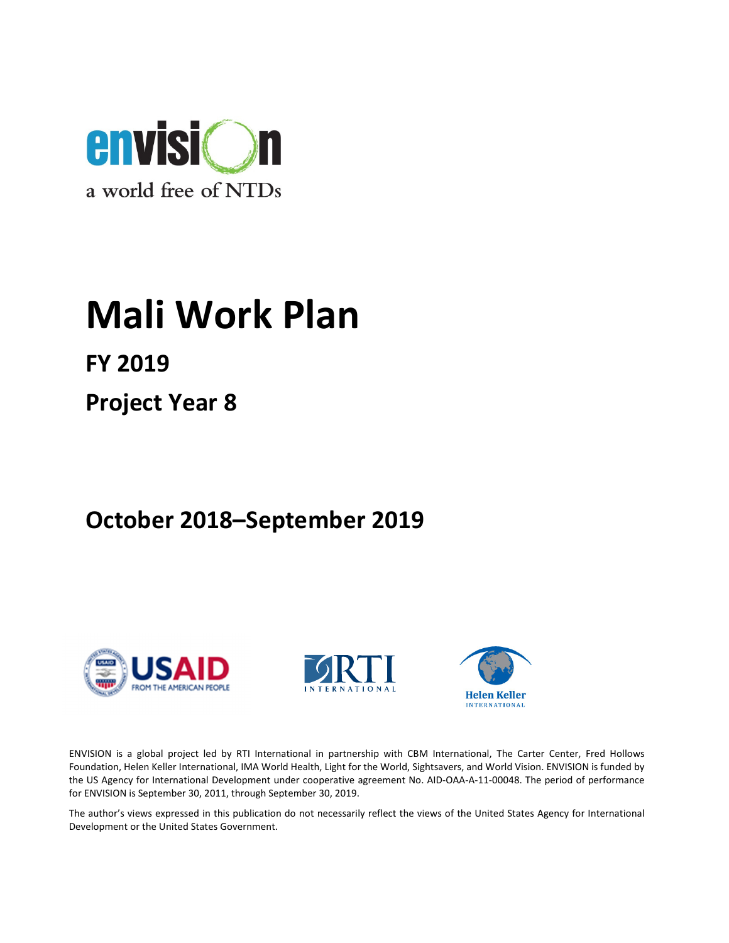

# Mali Work Plan

FY 2019

Project Year 8

October 2018–September 2019







ENVISION is a global project led by RTI International in partnership with CBM International, The Carter Center, Fred Hollows Foundation, Helen Keller International, IMA World Health, Light for the World, Sightsavers, and World Vision. ENVISION is funded by the US Agency for International Development under cooperative agreement No. AID-OAA-A-11-00048. The period of performance for ENVISION is September 30, 2011, through September 30, 2019.

The author's views expressed in this publication do not necessarily reflect the views of the United States Agency for International Development or the United States Government.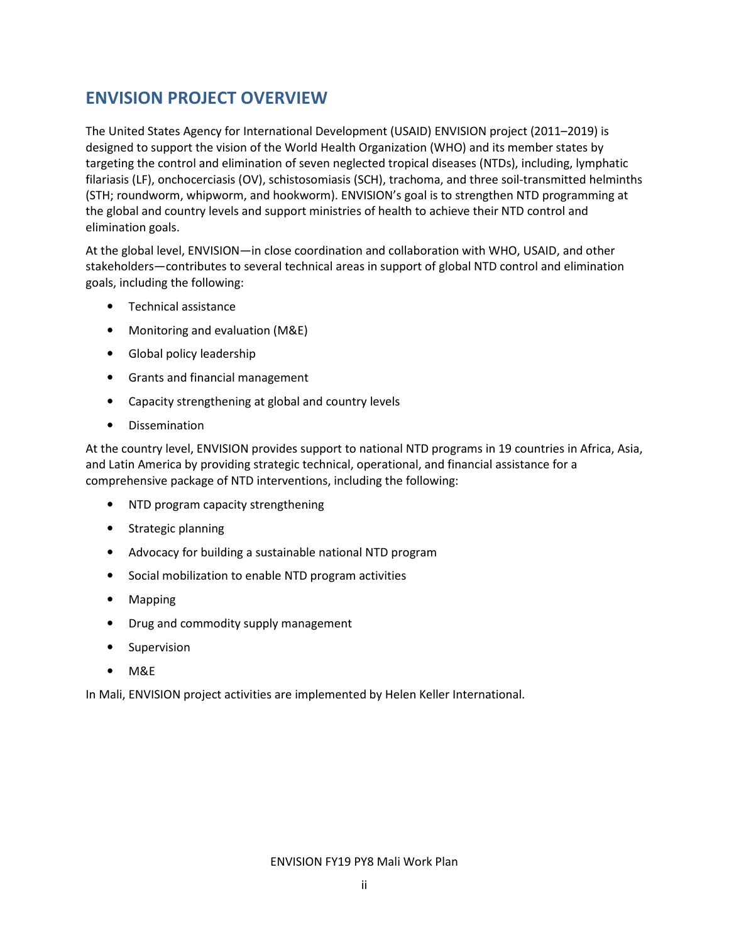## ENVISION PROJECT OVERVIEW

The United States Agency for International Development (USAID) ENVISION project (2011–2019) is designed to support the vision of the World Health Organization (WHO) and its member states by targeting the control and elimination of seven neglected tropical diseases (NTDs), including, lymphatic filariasis (LF), onchocerciasis (OV), schistosomiasis (SCH), trachoma, and three soil-transmitted helminths (STH; roundworm, whipworm, and hookworm). ENVISION's goal is to strengthen NTD programming at the global and country levels and support ministries of health to achieve their NTD control and elimination goals.

At the global level, ENVISION—in close coordination and collaboration with WHO, USAID, and other stakeholders—contributes to several technical areas in support of global NTD control and elimination goals, including the following:

- Technical assistance
- Monitoring and evaluation (M&E)
- Global policy leadership
- Grants and financial management
- Capacity strengthening at global and country levels
- Dissemination

At the country level, ENVISION provides support to national NTD programs in 19 countries in Africa, Asia, and Latin America by providing strategic technical, operational, and financial assistance for a comprehensive package of NTD interventions, including the following:

- NTD program capacity strengthening
- Strategic planning
- Advocacy for building a sustainable national NTD program
- Social mobilization to enable NTD program activities
- Mapping
- Drug and commodity supply management
- Supervision
- M&E

In Mali, ENVISION project activities are implemented by Helen Keller International.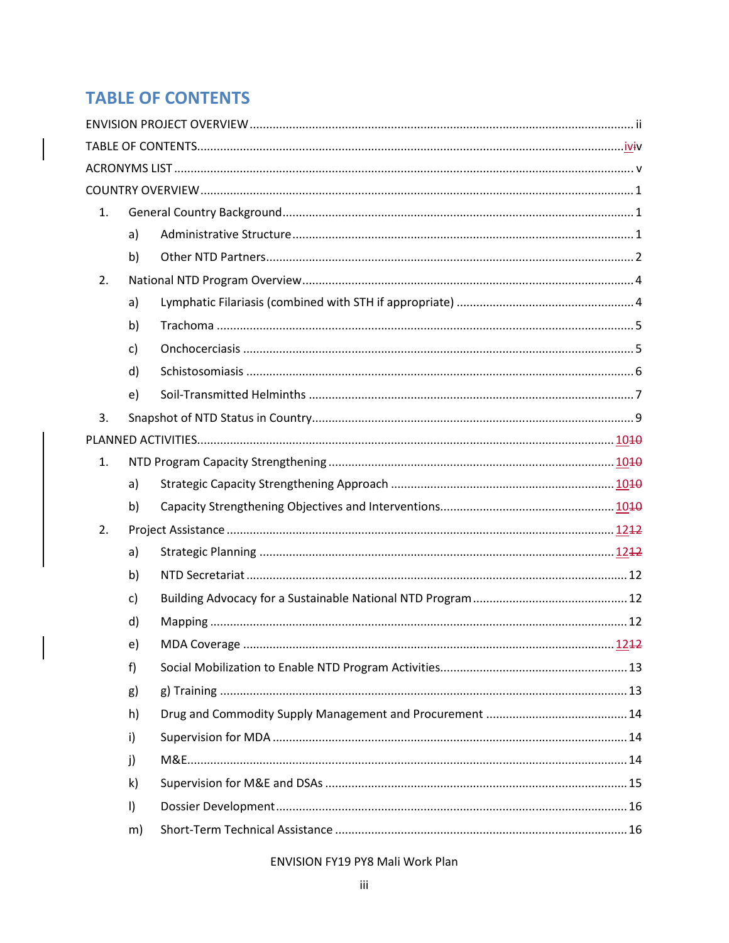# **TABLE OF CONTENTS**

 $\overline{\phantom{a}}$ 

| 1.             |              |  |  |  |
|----------------|--------------|--|--|--|
|                | a)           |  |  |  |
|                | b)           |  |  |  |
| 2.             |              |  |  |  |
|                | a)           |  |  |  |
|                | b)           |  |  |  |
|                | c)           |  |  |  |
|                | d)           |  |  |  |
|                | e)           |  |  |  |
| 3.             |              |  |  |  |
|                |              |  |  |  |
| $\mathbf{1}$ . |              |  |  |  |
|                | a)           |  |  |  |
|                | b)           |  |  |  |
| 2.             |              |  |  |  |
|                | a)           |  |  |  |
|                | b)           |  |  |  |
|                | c)           |  |  |  |
|                | d)           |  |  |  |
|                | e)           |  |  |  |
|                | f)           |  |  |  |
|                | g)           |  |  |  |
|                | h)           |  |  |  |
|                | i)           |  |  |  |
|                | j)           |  |  |  |
|                | $\mathsf{k}$ |  |  |  |
|                | $\vert$      |  |  |  |
|                | m)           |  |  |  |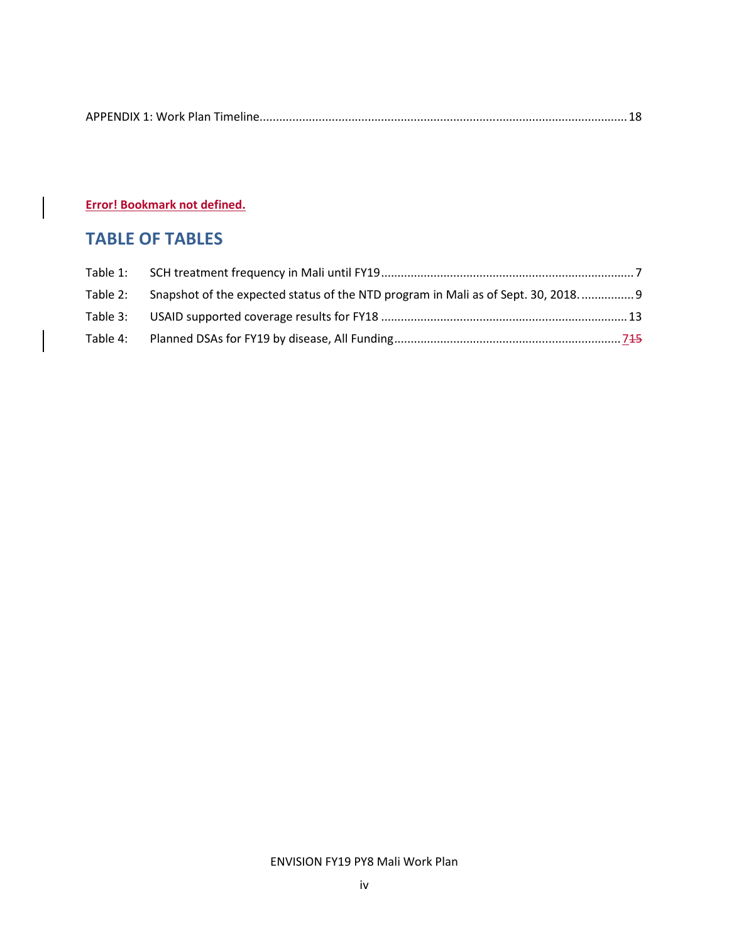|--|

Error! Bookmark not defined.

# TABLE OF TABLES

| Table 2: | Snapshot of the expected status of the NTD program in Mali as of Sept. 30, 2018 9 |  |
|----------|-----------------------------------------------------------------------------------|--|
|          |                                                                                   |  |
| Table 4: |                                                                                   |  |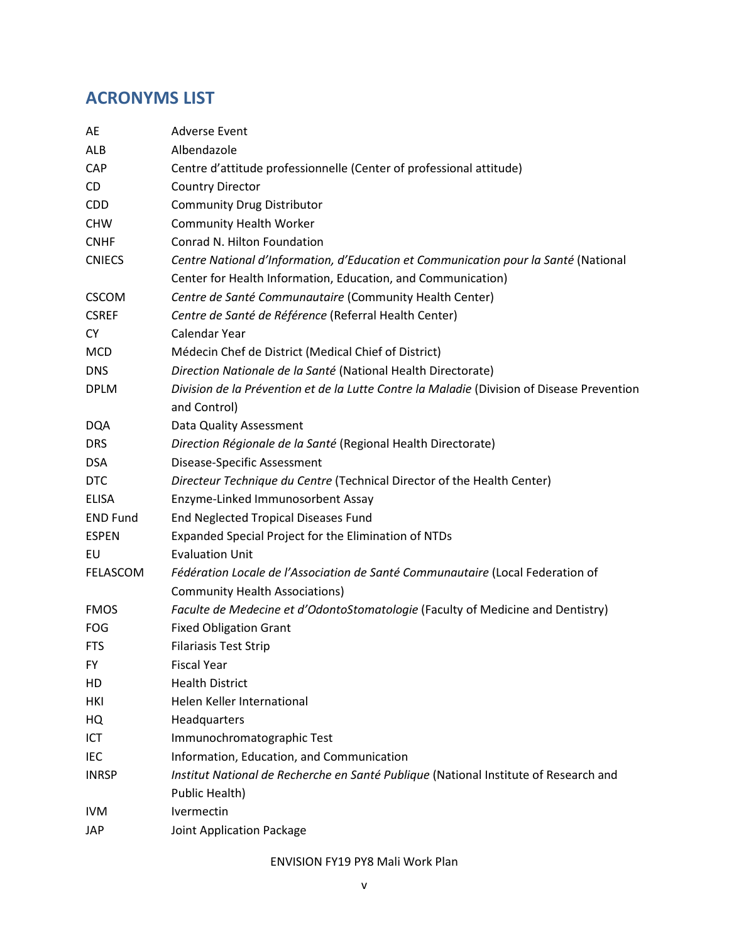## ACRONYMS LIST

| AE              | <b>Adverse Event</b>                                                                       |
|-----------------|--------------------------------------------------------------------------------------------|
| ALB             | Albendazole                                                                                |
| CAP             | Centre d'attitude professionnelle (Center of professional attitude)                        |
| CD              | <b>Country Director</b>                                                                    |
| <b>CDD</b>      | <b>Community Drug Distributor</b>                                                          |
| <b>CHW</b>      | <b>Community Health Worker</b>                                                             |
| <b>CNHF</b>     | Conrad N. Hilton Foundation                                                                |
| <b>CNIECS</b>   | Centre National d'Information, d'Education et Communication pour la Santé (National        |
|                 | Center for Health Information, Education, and Communication)                               |
| <b>CSCOM</b>    | Centre de Santé Communautaire (Community Health Center)                                    |
| <b>CSREF</b>    | Centre de Santé de Référence (Referral Health Center)                                      |
| СY              | Calendar Year                                                                              |
| <b>MCD</b>      | Médecin Chef de District (Medical Chief of District)                                       |
| <b>DNS</b>      | Direction Nationale de la Santé (National Health Directorate)                              |
| <b>DPLM</b>     | Division de la Prévention et de la Lutte Contre la Maladie (Division of Disease Prevention |
|                 | and Control)                                                                               |
| <b>DQA</b>      | Data Quality Assessment                                                                    |
| <b>DRS</b>      | Direction Régionale de la Santé (Regional Health Directorate)                              |
| <b>DSA</b>      | Disease-Specific Assessment                                                                |
| <b>DTC</b>      | Directeur Technique du Centre (Technical Director of the Health Center)                    |
| <b>ELISA</b>    | Enzyme-Linked Immunosorbent Assay                                                          |
| <b>END Fund</b> | End Neglected Tropical Diseases Fund                                                       |
| <b>ESPEN</b>    | Expanded Special Project for the Elimination of NTDs                                       |
| EU              | <b>Evaluation Unit</b>                                                                     |
| <b>FELASCOM</b> | Fédération Locale de l'Association de Santé Communautaire (Local Federation of             |
|                 | <b>Community Health Associations)</b>                                                      |
| <b>FMOS</b>     | Faculte de Medecine et d'OdontoStomatologie (Faculty of Medicine and Dentistry)            |
| <b>FOG</b>      | <b>Fixed Obligation Grant</b>                                                              |
| <b>FTS</b>      | <b>Filariasis Test Strip</b>                                                               |
| FY              | <b>Fiscal Year</b>                                                                         |
| HD              | <b>Health District</b>                                                                     |
| HKI             | Helen Keller International                                                                 |
| HQ              | Headquarters                                                                               |
| ICT             | Immunochromatographic Test                                                                 |
| IEC             | Information, Education, and Communication                                                  |
| <b>INRSP</b>    | Institut National de Recherche en Santé Publique (National Institute of Research and       |
|                 | Public Health)                                                                             |
| <b>IVM</b>      | Ivermectin                                                                                 |
| JAP             | Joint Application Package                                                                  |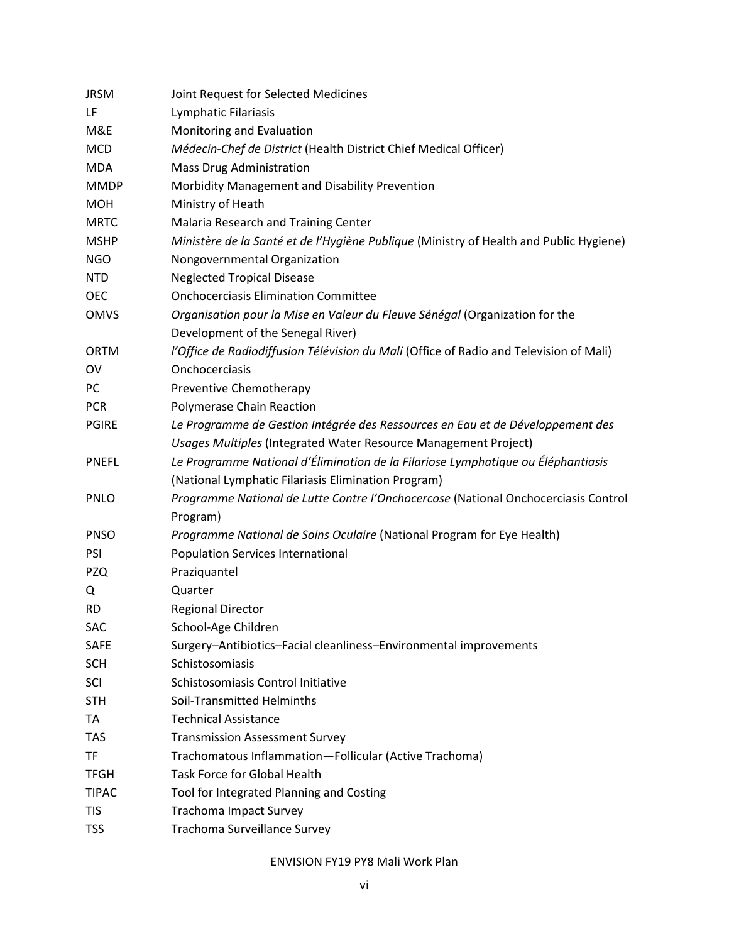| <b>JRSM</b>  | Joint Request for Selected Medicines                                                   |
|--------------|----------------------------------------------------------------------------------------|
| LF           | Lymphatic Filariasis                                                                   |
| M&E          | Monitoring and Evaluation                                                              |
| <b>MCD</b>   | Médecin-Chef de District (Health District Chief Medical Officer)                       |
| <b>MDA</b>   | <b>Mass Drug Administration</b>                                                        |
| <b>MMDP</b>  | Morbidity Management and Disability Prevention                                         |
| <b>MOH</b>   | Ministry of Heath                                                                      |
| <b>MRTC</b>  | Malaria Research and Training Center                                                   |
| <b>MSHP</b>  | Ministère de la Santé et de l'Hygiène Publique (Ministry of Health and Public Hygiene) |
| <b>NGO</b>   | Nongovernmental Organization                                                           |
| <b>NTD</b>   | <b>Neglected Tropical Disease</b>                                                      |
| <b>OEC</b>   | <b>Onchocerciasis Elimination Committee</b>                                            |
| <b>OMVS</b>  | Organisation pour la Mise en Valeur du Fleuve Sénégal (Organization for the            |
|              | Development of the Senegal River)                                                      |
| <b>ORTM</b>  | l'Office de Radiodiffusion Télévision du Mali (Office of Radio and Television of Mali) |
| OV           | Onchocerciasis                                                                         |
| PC           | Preventive Chemotherapy                                                                |
| <b>PCR</b>   | Polymerase Chain Reaction                                                              |
| <b>PGIRE</b> | Le Programme de Gestion Intégrée des Ressources en Eau et de Développement des         |
|              | Usages Multiples (Integrated Water Resource Management Project)                        |
| <b>PNEFL</b> | Le Programme National d'Élimination de la Filariose Lymphatique ou Éléphantiasis       |
|              | (National Lymphatic Filariasis Elimination Program)                                    |
| <b>PNLO</b>  | Programme National de Lutte Contre l'Onchocercose (National Onchocerciasis Control     |
|              | Program)                                                                               |
| <b>PNSO</b>  | Programme National de Soins Oculaire (National Program for Eye Health)                 |
| PSI          | <b>Population Services International</b>                                               |
| <b>PZQ</b>   | Praziquantel                                                                           |
| Q            | Quarter                                                                                |
| <b>RD</b>    | <b>Regional Director</b>                                                               |
| SAC          | School-Age Children                                                                    |
| <b>SAFE</b>  | Surgery-Antibiotics-Facial cleanliness-Environmental improvements                      |
| <b>SCH</b>   | Schistosomiasis                                                                        |
| SCI          | Schistosomiasis Control Initiative                                                     |
| <b>STH</b>   | Soil-Transmitted Helminths                                                             |
| TA           | <b>Technical Assistance</b>                                                            |
| <b>TAS</b>   | <b>Transmission Assessment Survey</b>                                                  |
| TF           | Trachomatous Inflammation-Follicular (Active Trachoma)                                 |
| <b>TFGH</b>  | <b>Task Force for Global Health</b>                                                    |
| <b>TIPAC</b> | Tool for Integrated Planning and Costing                                               |
| <b>TIS</b>   | <b>Trachoma Impact Survey</b>                                                          |
| <b>TSS</b>   | Trachoma Surveillance Survey                                                           |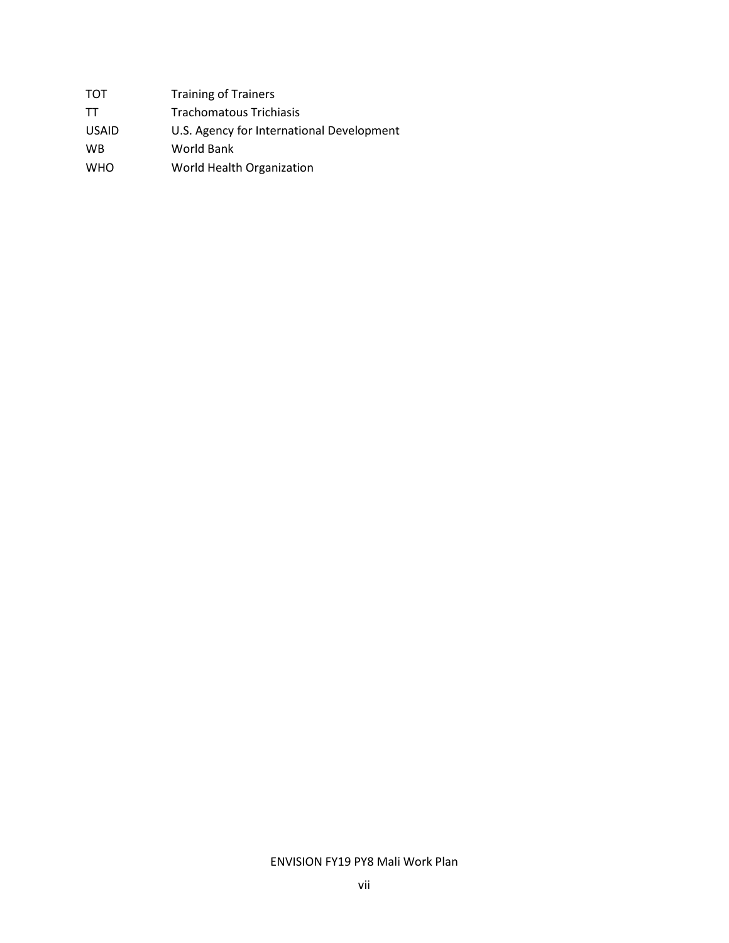| тот          | <b>Training of Trainers</b>               |
|--------------|-------------------------------------------|
| TТ           | Trachomatous Trichiasis                   |
| <b>USAID</b> | U.S. Agency for International Development |
| <b>WB</b>    | World Bank                                |
| <b>WHO</b>   | World Health Organization                 |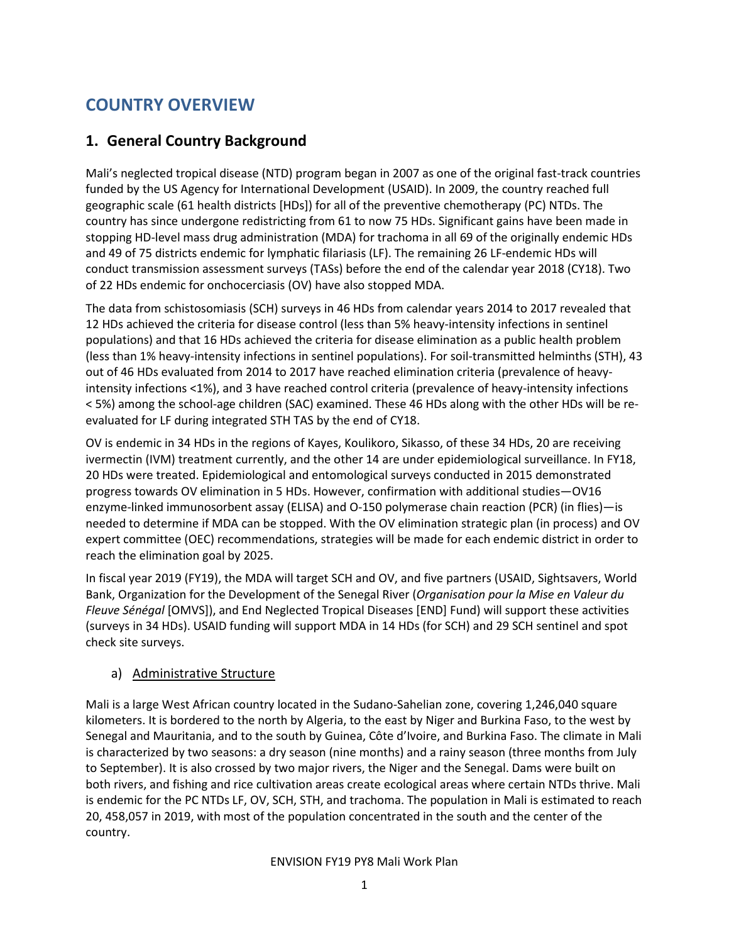# COUNTRY OVERVIEW

## 1. General Country Background

Mali's neglected tropical disease (NTD) program began in 2007 as one of the original fast-track countries funded by the US Agency for International Development (USAID). In 2009, the country reached full geographic scale (61 health districts [HDs]) for all of the preventive chemotherapy (PC) NTDs. The country has since undergone redistricting from 61 to now 75 HDs. Significant gains have been made in stopping HD-level mass drug administration (MDA) for trachoma in all 69 of the originally endemic HDs and 49 of 75 districts endemic for lymphatic filariasis (LF). The remaining 26 LF-endemic HDs will conduct transmission assessment surveys (TASs) before the end of the calendar year 2018 (CY18). Two of 22 HDs endemic for onchocerciasis (OV) have also stopped MDA.

The data from schistosomiasis (SCH) surveys in 46 HDs from calendar years 2014 to 2017 revealed that 12 HDs achieved the criteria for disease control (less than 5% heavy-intensity infections in sentinel populations) and that 16 HDs achieved the criteria for disease elimination as a public health problem (less than 1% heavy-intensity infections in sentinel populations). For soil-transmitted helminths (STH), 43 out of 46 HDs evaluated from 2014 to 2017 have reached elimination criteria (prevalence of heavyintensity infections <1%), and 3 have reached control criteria (prevalence of heavy-intensity infections < 5%) among the school-age children (SAC) examined. These 46 HDs along with the other HDs will be reevaluated for LF during integrated STH TAS by the end of CY18.

OV is endemic in 34 HDs in the regions of Kayes, Koulikoro, Sikasso, of these 34 HDs, 20 are receiving ivermectin (IVM) treatment currently, and the other 14 are under epidemiological surveillance. In FY18, 20 HDs were treated. Epidemiological and entomological surveys conducted in 2015 demonstrated progress towards OV elimination in 5 HDs. However, confirmation with additional studies—OV16 enzyme-linked immunosorbent assay (ELISA) and O-150 polymerase chain reaction (PCR) (in flies)—is needed to determine if MDA can be stopped. With the OV elimination strategic plan (in process) and OV expert committee (OEC) recommendations, strategies will be made for each endemic district in order to reach the elimination goal by 2025.

In fiscal year 2019 (FY19), the MDA will target SCH and OV, and five partners (USAID, Sightsavers, World Bank, Organization for the Development of the Senegal River (Organisation pour la Mise en Valeur du Fleuve Sénégal [OMVS]), and End Neglected Tropical Diseases [END] Fund) will support these activities (surveys in 34 HDs). USAID funding will support MDA in 14 HDs (for SCH) and 29 SCH sentinel and spot check site surveys.

#### a) Administrative Structure

Mali is a large West African country located in the Sudano-Sahelian zone, covering 1,246,040 square kilometers. It is bordered to the north by Algeria, to the east by Niger and Burkina Faso, to the west by Senegal and Mauritania, and to the south by Guinea, Côte d'Ivoire, and Burkina Faso. The climate in Mali is characterized by two seasons: a dry season (nine months) and a rainy season (three months from July to September). It is also crossed by two major rivers, the Niger and the Senegal. Dams were built on both rivers, and fishing and rice cultivation areas create ecological areas where certain NTDs thrive. Mali is endemic for the PC NTDs LF, OV, SCH, STH, and trachoma. The population in Mali is estimated to reach 20, 458,057 in 2019, with most of the population concentrated in the south and the center of the country.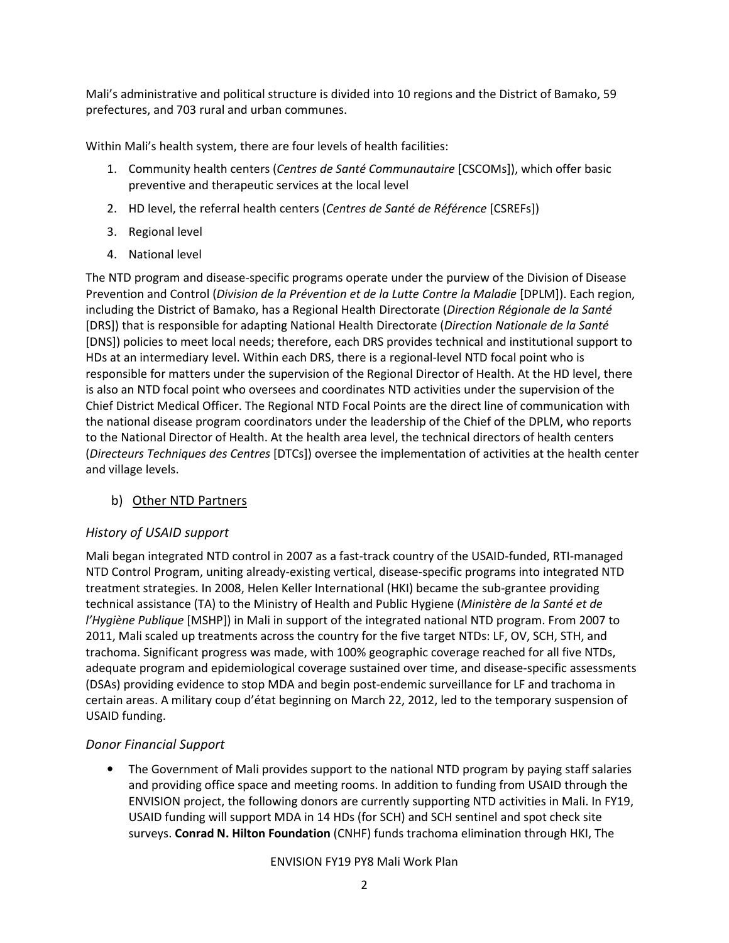Mali's administrative and political structure is divided into 10 regions and the District of Bamako, 59 prefectures, and 703 rural and urban communes.

Within Mali's health system, there are four levels of health facilities:

- 1. Community health centers (Centres de Santé Communautaire [CSCOMs]), which offer basic preventive and therapeutic services at the local level
- 2. HD level, the referral health centers (Centres de Santé de Référence [CSREFs])
- 3. Regional level
- 4. National level

The NTD program and disease-specific programs operate under the purview of the Division of Disease Prevention and Control (Division de la Prévention et de la Lutte Contre la Maladie [DPLM]). Each region, including the District of Bamako, has a Regional Health Directorate (Direction Régionale de la Santé [DRS]) that is responsible for adapting National Health Directorate (Direction Nationale de la Santé [DNS]) policies to meet local needs; therefore, each DRS provides technical and institutional support to HDs at an intermediary level. Within each DRS, there is a regional-level NTD focal point who is responsible for matters under the supervision of the Regional Director of Health. At the HD level, there is also an NTD focal point who oversees and coordinates NTD activities under the supervision of the Chief District Medical Officer. The Regional NTD Focal Points are the direct line of communication with the national disease program coordinators under the leadership of the Chief of the DPLM, who reports to the National Director of Health. At the health area level, the technical directors of health centers (Directeurs Techniques des Centres [DTCs]) oversee the implementation of activities at the health center and village levels.

#### b) Other NTD Partners

#### History of USAID support

Mali began integrated NTD control in 2007 as a fast-track country of the USAID-funded, RTI-managed NTD Control Program, uniting already-existing vertical, disease-specific programs into integrated NTD treatment strategies. In 2008, Helen Keller International (HKI) became the sub-grantee providing technical assistance (TA) to the Ministry of Health and Public Hygiene (Ministère de la Santé et de l'Hygiène Publique [MSHP]) in Mali in support of the integrated national NTD program. From 2007 to 2011, Mali scaled up treatments across the country for the five target NTDs: LF, OV, SCH, STH, and trachoma. Significant progress was made, with 100% geographic coverage reached for all five NTDs, adequate program and epidemiological coverage sustained over time, and disease-specific assessments (DSAs) providing evidence to stop MDA and begin post-endemic surveillance for LF and trachoma in certain areas. A military coup d'état beginning on March 22, 2012, led to the temporary suspension of USAID funding.

#### Donor Financial Support

• The Government of Mali provides support to the national NTD program by paying staff salaries and providing office space and meeting rooms. In addition to funding from USAID through the ENVISION project, the following donors are currently supporting NTD activities in Mali. In FY19, USAID funding will support MDA in 14 HDs (for SCH) and SCH sentinel and spot check site surveys. Conrad N. Hilton Foundation (CNHF) funds trachoma elimination through HKI, The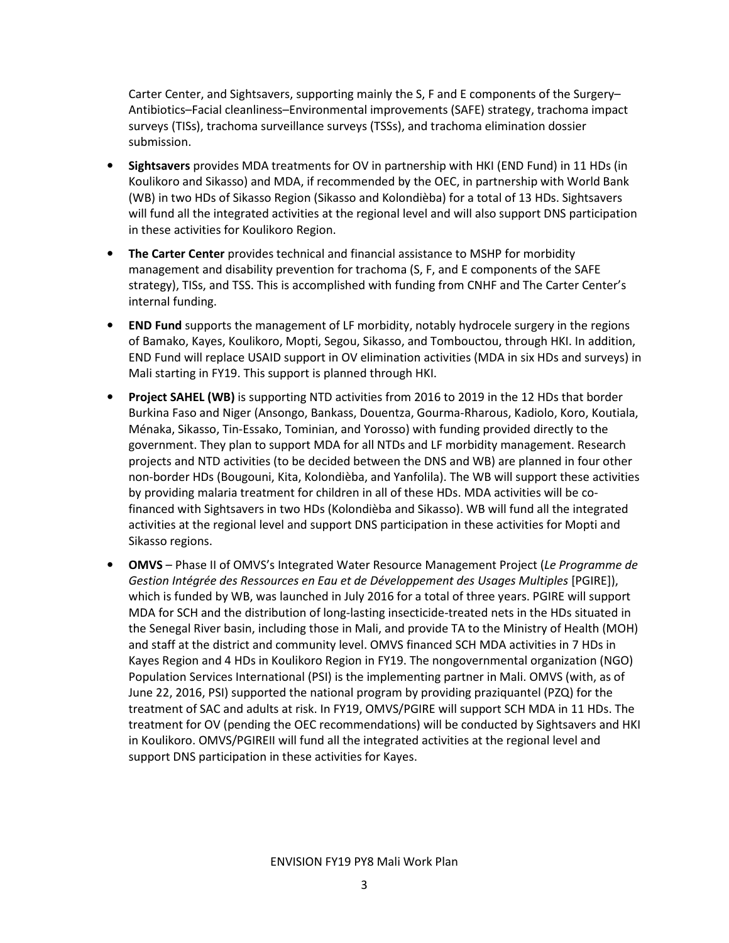Carter Center, and Sightsavers, supporting mainly the S, F and E components of the Surgery– Antibiotics–Facial cleanliness–Environmental improvements (SAFE) strategy, trachoma impact surveys (TISs), trachoma surveillance surveys (TSSs), and trachoma elimination dossier submission.

- Sightsavers provides MDA treatments for OV in partnership with HKI (END Fund) in 11 HDs (in Koulikoro and Sikasso) and MDA, if recommended by the OEC, in partnership with World Bank (WB) in two HDs of Sikasso Region (Sikasso and Kolondièba) for a total of 13 HDs. Sightsavers will fund all the integrated activities at the regional level and will also support DNS participation in these activities for Koulikoro Region.
- The Carter Center provides technical and financial assistance to MSHP for morbidity management and disability prevention for trachoma (S, F, and E components of the SAFE strategy), TISs, and TSS. This is accomplished with funding from CNHF and The Carter Center's internal funding.
- **END Fund** supports the management of LF morbidity, notably hydrocele surgery in the regions of Bamako, Kayes, Koulikoro, Mopti, Segou, Sikasso, and Tombouctou, through HKI. In addition, END Fund will replace USAID support in OV elimination activities (MDA in six HDs and surveys) in Mali starting in FY19. This support is planned through HKI.
- Project SAHEL (WB) is supporting NTD activities from 2016 to 2019 in the 12 HDs that border Burkina Faso and Niger (Ansongo, Bankass, Douentza, Gourma-Rharous, Kadiolo, Koro, Koutiala, Ménaka, Sikasso, Tin-Essako, Tominian, and Yorosso) with funding provided directly to the government. They plan to support MDA for all NTDs and LF morbidity management. Research projects and NTD activities (to be decided between the DNS and WB) are planned in four other non-border HDs (Bougouni, Kita, Kolondièba, and Yanfolila). The WB will support these activities by providing malaria treatment for children in all of these HDs. MDA activities will be cofinanced with Sightsavers in two HDs (Kolondièba and Sikasso). WB will fund all the integrated activities at the regional level and support DNS participation in these activities for Mopti and Sikasso regions.
- OMVS Phase II of OMVS's Integrated Water Resource Management Project (Le Programme de Gestion Intégrée des Ressources en Eau et de Développement des Usages Multiples [PGIRE]), which is funded by WB, was launched in July 2016 for a total of three years. PGIRE will support MDA for SCH and the distribution of long-lasting insecticide-treated nets in the HDs situated in the Senegal River basin, including those in Mali, and provide TA to the Ministry of Health (MOH) and staff at the district and community level. OMVS financed SCH MDA activities in 7 HDs in Kayes Region and 4 HDs in Koulikoro Region in FY19. The nongovernmental organization (NGO) Population Services International (PSI) is the implementing partner in Mali. OMVS (with, as of June 22, 2016, PSI) supported the national program by providing praziquantel (PZQ) for the treatment of SAC and adults at risk. In FY19, OMVS/PGIRE will support SCH MDA in 11 HDs. The treatment for OV (pending the OEC recommendations) will be conducted by Sightsavers and HKI in Koulikoro. OMVS/PGIREII will fund all the integrated activities at the regional level and support DNS participation in these activities for Kayes.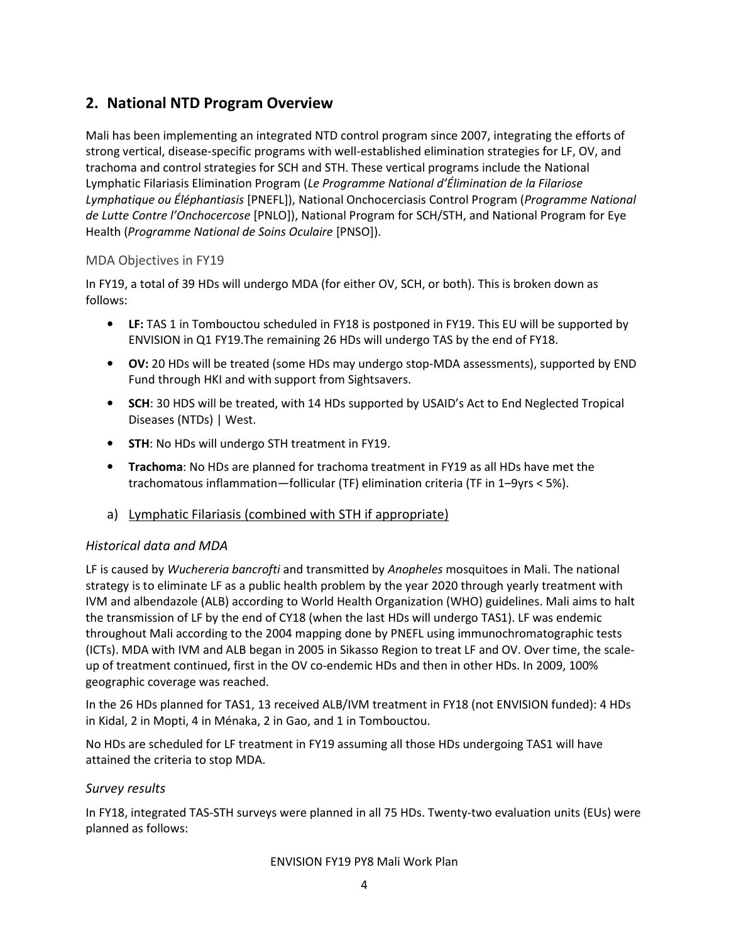## 2. National NTD Program Overview

Mali has been implementing an integrated NTD control program since 2007, integrating the efforts of strong vertical, disease-specific programs with well-established elimination strategies for LF, OV, and trachoma and control strategies for SCH and STH. These vertical programs include the National Lymphatic Filariasis Elimination Program (Le Programme National d'Élimination de la Filariose Lymphatique ou Éléphantiasis [PNEFL]), National Onchocerciasis Control Program (Programme National de Lutte Contre l'Onchocercose [PNLO]), National Program for SCH/STH, and National Program for Eye Health (Programme National de Soins Oculaire [PNSO]).

#### MDA Objectives in FY19

In FY19, a total of 39 HDs will undergo MDA (for either OV, SCH, or both). This is broken down as follows:

- LF: TAS 1 in Tombouctou scheduled in FY18 is postponed in FY19. This EU will be supported by ENVISION in Q1 FY19.The remaining 26 HDs will undergo TAS by the end of FY18.
- OV: 20 HDs will be treated (some HDs may undergo stop-MDA assessments), supported by END Fund through HKI and with support from Sightsavers.
- SCH: 30 HDS will be treated, with 14 HDs supported by USAID's Act to End Neglected Tropical Diseases (NTDs) | West.
- **STH: No HDs will undergo STH treatment in FY19.**
- Trachoma: No HDs are planned for trachoma treatment in FY19 as all HDs have met the trachomatous inflammation—follicular (TF) elimination criteria (TF in 1–9yrs < 5%).
- a) Lymphatic Filariasis (combined with STH if appropriate)

#### Historical data and MDA

LF is caused by Wuchereria bancrofti and transmitted by Anopheles mosquitoes in Mali. The national strategy is to eliminate LF as a public health problem by the year 2020 through yearly treatment with IVM and albendazole (ALB) according to World Health Organization (WHO) guidelines. Mali aims to halt the transmission of LF by the end of CY18 (when the last HDs will undergo TAS1). LF was endemic throughout Mali according to the 2004 mapping done by PNEFL using immunochromatographic tests (ICTs). MDA with IVM and ALB began in 2005 in Sikasso Region to treat LF and OV. Over time, the scaleup of treatment continued, first in the OV co-endemic HDs and then in other HDs. In 2009, 100% geographic coverage was reached.

In the 26 HDs planned for TAS1, 13 received ALB/IVM treatment in FY18 (not ENVISION funded): 4 HDs in Kidal, 2 in Mopti, 4 in Ménaka, 2 in Gao, and 1 in Tombouctou.

No HDs are scheduled for LF treatment in FY19 assuming all those HDs undergoing TAS1 will have attained the criteria to stop MDA.

#### Survey results

In FY18, integrated TAS-STH surveys were planned in all 75 HDs. Twenty-two evaluation units (EUs) were planned as follows: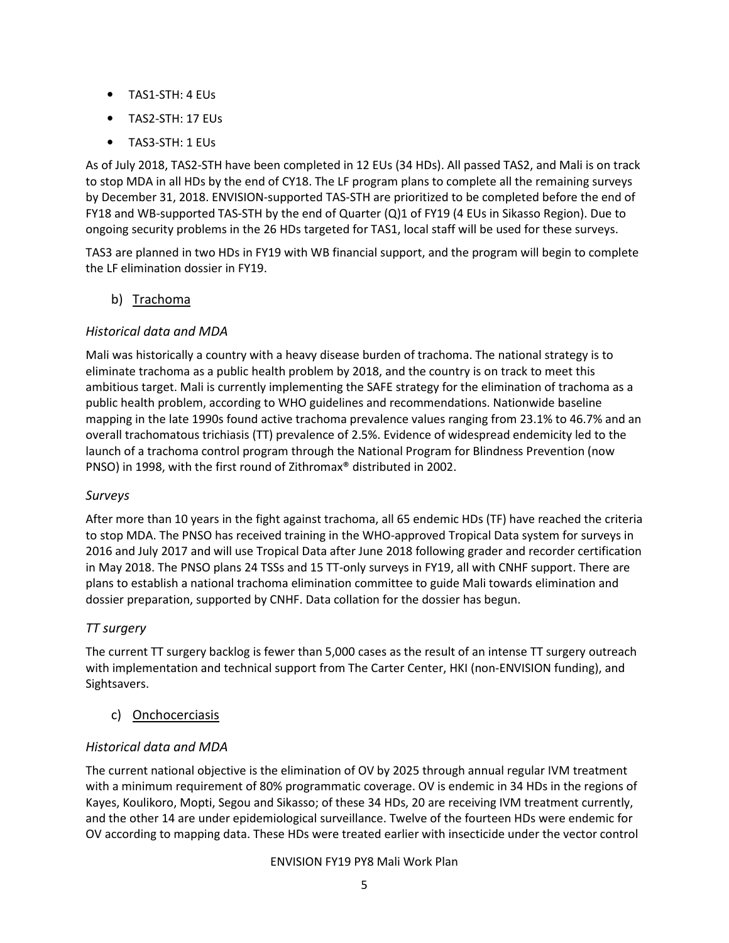- TAS1-STH: 4 EUs
- TAS2-STH: 17 EUs
- TAS3-STH: 1 EUs

As of July 2018, TAS2-STH have been completed in 12 EUs (34 HDs). All passed TAS2, and Mali is on track to stop MDA in all HDs by the end of CY18. The LF program plans to complete all the remaining surveys by December 31, 2018. ENVISION-supported TAS-STH are prioritized to be completed before the end of FY18 and WB-supported TAS-STH by the end of Quarter (Q)1 of FY19 (4 EUs in Sikasso Region). Due to ongoing security problems in the 26 HDs targeted for TAS1, local staff will be used for these surveys.

TAS3 are planned in two HDs in FY19 with WB financial support, and the program will begin to complete the LF elimination dossier in FY19.

#### b) Trachoma

#### Historical data and MDA

Mali was historically a country with a heavy disease burden of trachoma. The national strategy is to eliminate trachoma as a public health problem by 2018, and the country is on track to meet this ambitious target. Mali is currently implementing the SAFE strategy for the elimination of trachoma as a public health problem, according to WHO guidelines and recommendations. Nationwide baseline mapping in the late 1990s found active trachoma prevalence values ranging from 23.1% to 46.7% and an overall trachomatous trichiasis (TT) prevalence of 2.5%. Evidence of widespread endemicity led to the launch of a trachoma control program through the National Program for Blindness Prevention (now PNSO) in 1998, with the first round of Zithromax® distributed in 2002.

#### Surveys

After more than 10 years in the fight against trachoma, all 65 endemic HDs (TF) have reached the criteria to stop MDA. The PNSO has received training in the WHO-approved Tropical Data system for surveys in 2016 and July 2017 and will use Tropical Data after June 2018 following grader and recorder certification in May 2018. The PNSO plans 24 TSSs and 15 TT-only surveys in FY19, all with CNHF support. There are plans to establish a national trachoma elimination committee to guide Mali towards elimination and dossier preparation, supported by CNHF. Data collation for the dossier has begun.

#### TT surgery

The current TT surgery backlog is fewer than 5,000 cases as the result of an intense TT surgery outreach with implementation and technical support from The Carter Center, HKI (non-ENVISION funding), and Sightsavers.

c) Onchocerciasis

#### Historical data and MDA

The current national objective is the elimination of OV by 2025 through annual regular IVM treatment with a minimum requirement of 80% programmatic coverage. OV is endemic in 34 HDs in the regions of Kayes, Koulikoro, Mopti, Segou and Sikasso; of these 34 HDs, 20 are receiving IVM treatment currently, and the other 14 are under epidemiological surveillance. Twelve of the fourteen HDs were endemic for OV according to mapping data. These HDs were treated earlier with insecticide under the vector control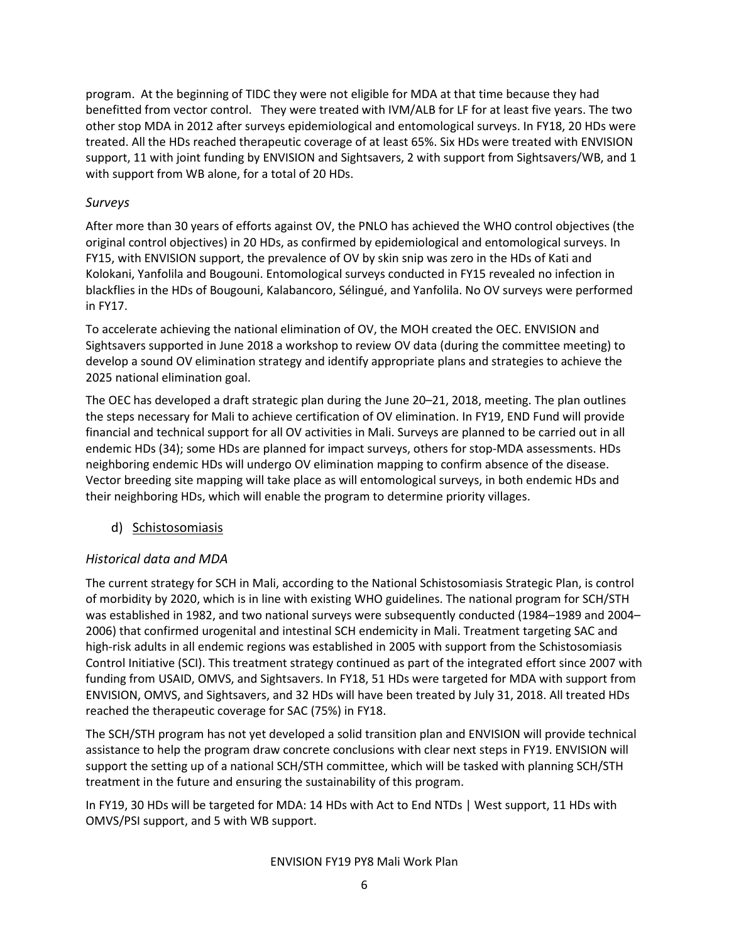program. At the beginning of TIDC they were not eligible for MDA at that time because they had benefitted from vector control. They were treated with IVM/ALB for LF for at least five years. The two other stop MDA in 2012 after surveys epidemiological and entomological surveys. In FY18, 20 HDs were treated. All the HDs reached therapeutic coverage of at least 65%. Six HDs were treated with ENVISION support, 11 with joint funding by ENVISION and Sightsavers, 2 with support from Sightsavers/WB, and 1 with support from WB alone, for a total of 20 HDs.

#### Surveys

After more than 30 years of efforts against OV, the PNLO has achieved the WHO control objectives (the original control objectives) in 20 HDs, as confirmed by epidemiological and entomological surveys. In FY15, with ENVISION support, the prevalence of OV by skin snip was zero in the HDs of Kati and Kolokani, Yanfolila and Bougouni. Entomological surveys conducted in FY15 revealed no infection in blackflies in the HDs of Bougouni, Kalabancoro, Sélingué, and Yanfolila. No OV surveys were performed in FY17.

To accelerate achieving the national elimination of OV, the MOH created the OEC. ENVISION and Sightsavers supported in June 2018 a workshop to review OV data (during the committee meeting) to develop a sound OV elimination strategy and identify appropriate plans and strategies to achieve the 2025 national elimination goal.

The OEC has developed a draft strategic plan during the June 20–21, 2018, meeting. The plan outlines the steps necessary for Mali to achieve certification of OV elimination. In FY19, END Fund will provide financial and technical support for all OV activities in Mali. Surveys are planned to be carried out in all endemic HDs (34); some HDs are planned for impact surveys, others for stop-MDA assessments. HDs neighboring endemic HDs will undergo OV elimination mapping to confirm absence of the disease. Vector breeding site mapping will take place as will entomological surveys, in both endemic HDs and their neighboring HDs, which will enable the program to determine priority villages.

#### d) Schistosomiasis

#### Historical data and MDA

The current strategy for SCH in Mali, according to the National Schistosomiasis Strategic Plan, is control of morbidity by 2020, which is in line with existing WHO guidelines. The national program for SCH/STH was established in 1982, and two national surveys were subsequently conducted (1984–1989 and 2004– 2006) that confirmed urogenital and intestinal SCH endemicity in Mali. Treatment targeting SAC and high-risk adults in all endemic regions was established in 2005 with support from the Schistosomiasis Control Initiative (SCI). This treatment strategy continued as part of the integrated effort since 2007 with funding from USAID, OMVS, and Sightsavers. In FY18, 51 HDs were targeted for MDA with support from ENVISION, OMVS, and Sightsavers, and 32 HDs will have been treated by July 31, 2018. All treated HDs reached the therapeutic coverage for SAC (75%) in FY18.

The SCH/STH program has not yet developed a solid transition plan and ENVISION will provide technical assistance to help the program draw concrete conclusions with clear next steps in FY19. ENVISION will support the setting up of a national SCH/STH committee, which will be tasked with planning SCH/STH treatment in the future and ensuring the sustainability of this program.

In FY19, 30 HDs will be targeted for MDA: 14 HDs with Act to End NTDs | West support, 11 HDs with OMVS/PSI support, and 5 with WB support.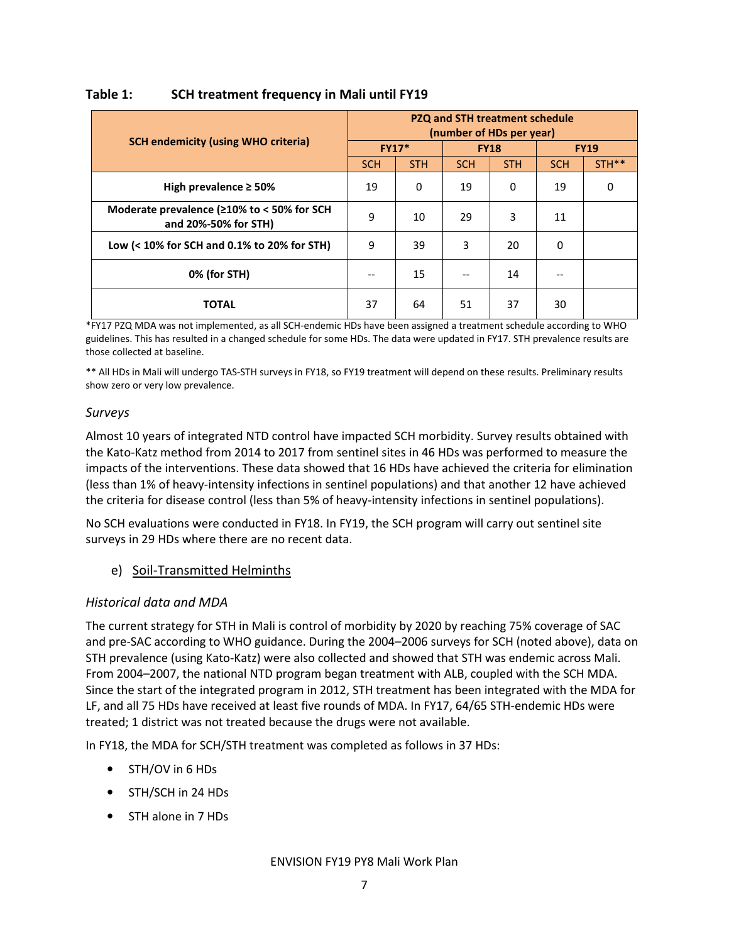|                                                                            |              | PZQ and STH treatment schedule<br>(number of HDs per year) |            |             |             |       |  |  |  |  |
|----------------------------------------------------------------------------|--------------|------------------------------------------------------------|------------|-------------|-------------|-------|--|--|--|--|
| <b>SCH endemicity (using WHO criteria)</b>                                 | <b>FY17*</b> |                                                            |            | <b>FY18</b> | <b>FY19</b> |       |  |  |  |  |
|                                                                            | <b>SCH</b>   | <b>STH</b>                                                 | <b>SCH</b> | <b>STH</b>  | <b>SCH</b>  | STH** |  |  |  |  |
| High prevalence $\geq$ 50%                                                 | 19           | 0                                                          | 19         | $\Omega$    | 19          | 0     |  |  |  |  |
| Moderate prevalence ( $\geq 10\%$ to < 50% for SCH<br>and 20%-50% for STH) | 9            | 10                                                         | 29         | 3           | 11          |       |  |  |  |  |
| Low $(< 10\%$ for SCH and 0.1% to 20% for STH)                             | 9            | 39                                                         | 3          | 20          | 0           |       |  |  |  |  |
| 0% (for STH)                                                               | --           | 15                                                         |            | 14          |             |       |  |  |  |  |
| <b>TOTAL</b>                                                               | 37           | 64                                                         | 51         | 37          | 30          |       |  |  |  |  |

## Table 1: SCH treatment frequency in Mali until FY19

\*FY17 PZQ MDA was not implemented, as all SCH-endemic HDs have been assigned a treatment schedule according to WHO guidelines. This has resulted in a changed schedule for some HDs. The data were updated in FY17. STH prevalence results are those collected at baseline.

\*\* All HDs in Mali will undergo TAS-STH surveys in FY18, so FY19 treatment will depend on these results. Preliminary results show zero or very low prevalence.

#### Surveys

Almost 10 years of integrated NTD control have impacted SCH morbidity. Survey results obtained with the Kato-Katz method from 2014 to 2017 from sentinel sites in 46 HDs was performed to measure the impacts of the interventions. These data showed that 16 HDs have achieved the criteria for elimination (less than 1% of heavy-intensity infections in sentinel populations) and that another 12 have achieved the criteria for disease control (less than 5% of heavy-intensity infections in sentinel populations).

No SCH evaluations were conducted in FY18. In FY19, the SCH program will carry out sentinel site surveys in 29 HDs where there are no recent data.

#### e) Soil-Transmitted Helminths

#### Historical data and MDA

The current strategy for STH in Mali is control of morbidity by 2020 by reaching 75% coverage of SAC and pre-SAC according to WHO guidance. During the 2004–2006 surveys for SCH (noted above), data on STH prevalence (using Kato-Katz) were also collected and showed that STH was endemic across Mali. From 2004–2007, the national NTD program began treatment with ALB, coupled with the SCH MDA. Since the start of the integrated program in 2012, STH treatment has been integrated with the MDA for LF, and all 75 HDs have received at least five rounds of MDA. In FY17, 64/65 STH-endemic HDs were treated; 1 district was not treated because the drugs were not available.

In FY18, the MDA for SCH/STH treatment was completed as follows in 37 HDs:

- STH/OV in 6 HDs
- STH/SCH in 24 HDs
- STH alone in 7 HDs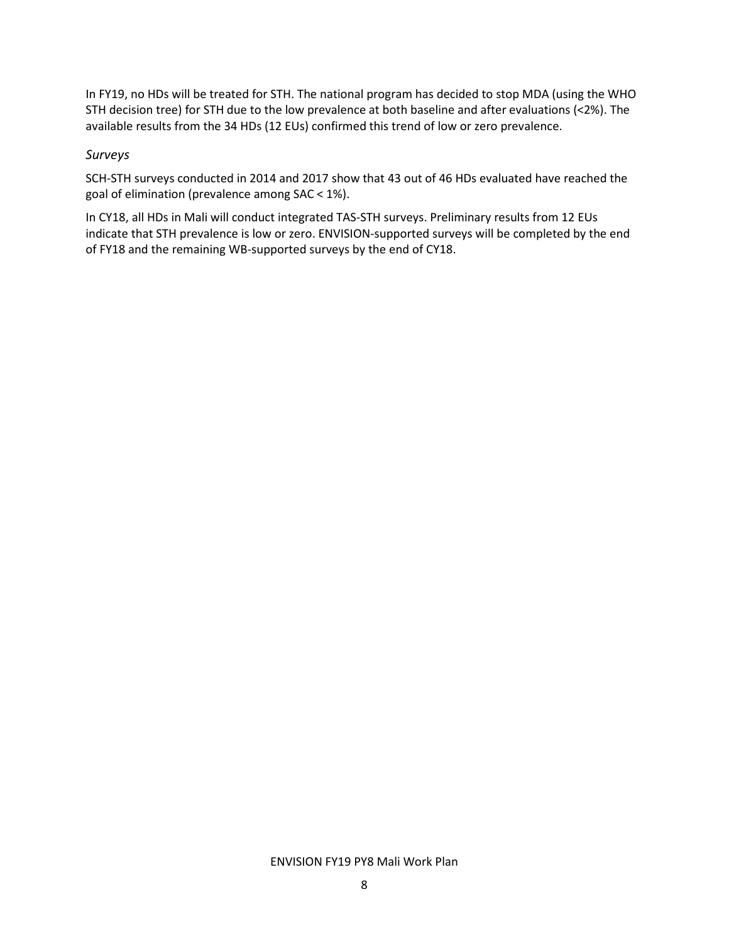In FY19, no HDs will be treated for STH. The national program has decided to stop MDA (using the WHO STH decision tree) for STH due to the low prevalence at both baseline and after evaluations (<2%). The available results from the 34 HDs (12 EUs) confirmed this trend of low or zero prevalence.

#### Surveys

SCH-STH surveys conducted in 2014 and 2017 show that 43 out of 46 HDs evaluated have reached the goal of elimination (prevalence among SAC < 1%).

In CY18, all HDs in Mali will conduct integrated TAS-STH surveys. Preliminary results from 12 EUs indicate that STH prevalence is low or zero. ENVISION-supported surveys will be completed by the end of FY18 and the remaining WB-supported surveys by the end of CY18.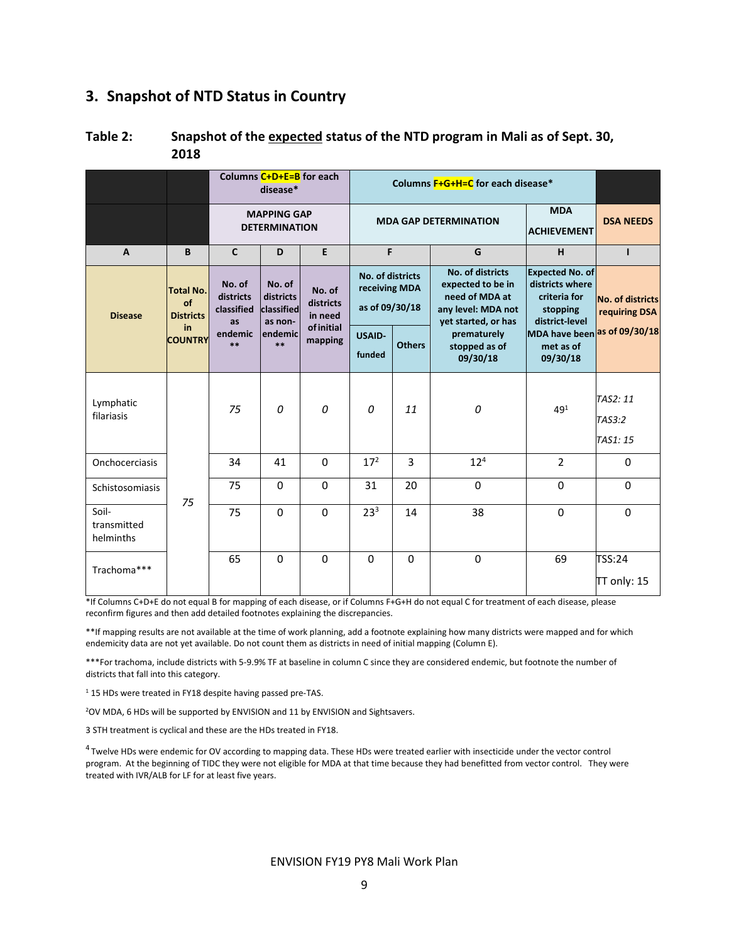#### 3. Snapshot of NTD Status in Country

| Table 2: | Snapshot of the expected status of the NTD program in Mali as of Sept. 30, |
|----------|----------------------------------------------------------------------------|
|          | 2018                                                                       |

|                                   |                                            |                                            | Columns C+D+E=B for each<br>disease*         |                                |                                                     | Columns F+G+H=C for each disease*                  |                                                                                                             |                                                                                         |                                          |          |          |
|-----------------------------------|--------------------------------------------|--------------------------------------------|----------------------------------------------|--------------------------------|-----------------------------------------------------|----------------------------------------------------|-------------------------------------------------------------------------------------------------------------|-----------------------------------------------------------------------------------------|------------------------------------------|----------|----------|
|                                   |                                            | <b>MAPPING GAP</b><br><b>DETERMINATION</b> |                                              |                                |                                                     | <b>MDA GAP DETERMINATION</b><br><b>ACHIEVEMENT</b> |                                                                                                             |                                                                                         | <b>DSA NEEDS</b>                         |          |          |
| $\mathbf{A}$                      | B                                          | $\mathbf{C}$                               | D                                            | E                              | F                                                   |                                                    | G                                                                                                           | H                                                                                       | п                                        |          |          |
| <b>Disease</b>                    | <b>Total No.</b><br>of<br><b>Districts</b> | No. of<br>districts<br>classified<br>as    | No. of<br>districts<br>classified<br>as non- | No. of<br>districts<br>in need | No. of districts<br>receiving MDA<br>as of 09/30/18 |                                                    | <b>No. of districts</b><br>expected to be in<br>need of MDA at<br>any level: MDA not<br>yet started, or has | <b>Expected No. of</b><br>districts where<br>criteria for<br>stopping<br>district-level | <b>No. of districts</b><br>requiring DSA |          |          |
|                                   | in<br><b>COUNTRY</b>                       | endemic<br>$**$                            | endemic<br>$***$                             | <b>of initial</b><br>mapping   | <b>USAID-</b><br>funded                             | <b>Others</b>                                      | prematurely<br>stopped as of<br>09/30/18                                                                    | MDA have been as of 09/30/18<br>met as of<br>09/30/18                                   |                                          |          |          |
| Lymphatic<br>filariasis           |                                            | 75                                         | 0                                            | 0                              | 0                                                   | 11                                                 | 0                                                                                                           | 491                                                                                     | TAS2: 11<br>TAS3:2<br>TAS1: 15           |          |          |
| Onchocerciasis                    |                                            | 34                                         | 41                                           | $\Omega$                       | 17 <sup>2</sup>                                     | 3                                                  | $12^{4}$                                                                                                    | $\overline{2}$                                                                          | $\mathbf 0$                              |          |          |
| Schistosomiasis                   | 75                                         | 75                                         | $\Omega$                                     | $\Omega$                       | 31                                                  | 20                                                 |                                                                                                             |                                                                                         | $\mathbf 0$                              | $\Omega$ | $\Omega$ |
| Soil-<br>transmitted<br>helminths |                                            | 75                                         | $\Omega$                                     | $\Omega$                       | 23 <sup>3</sup>                                     | 14                                                 | 38                                                                                                          | $\Omega$                                                                                | $\Omega$                                 |          |          |
| Trachoma***                       |                                            | 65                                         | $\Omega$                                     | $\Omega$                       | $\Omega$                                            | $\mathbf 0$                                        | $\mathbf 0$                                                                                                 | 69                                                                                      | TSS:24<br>TT only: 15                    |          |          |

\*If Columns C+D+E do not equal B for mapping of each disease, or if Columns F+G+H do not equal C for treatment of each disease, please reconfirm figures and then add detailed footnotes explaining the discrepancies.

\*\*If mapping results are not available at the time of work planning, add a footnote explaining how many districts were mapped and for which endemicity data are not yet available. Do not count them as districts in need of initial mapping (Column E).

\*\*\*For trachoma, include districts with 5-9.9% TF at baseline in column C since they are considered endemic, but footnote the number of districts that fall into this category.

<sup>1</sup> 15 HDs were treated in FY18 despite having passed pre-TAS.

<sup>2</sup>OV MDA, 6 HDs will be supported by ENVISION and 11 by ENVISION and Sightsavers.

3 STH treatment is cyclical and these are the HDs treated in FY18.

<sup>4</sup>Twelve HDs were endemic for OV according to mapping data. These HDs were treated earlier with insecticide under the vector control program. At the beginning of TIDC they were not eligible for MDA at that time because they had benefitted from vector control. They were treated with IVR/ALB for LF for at least five years.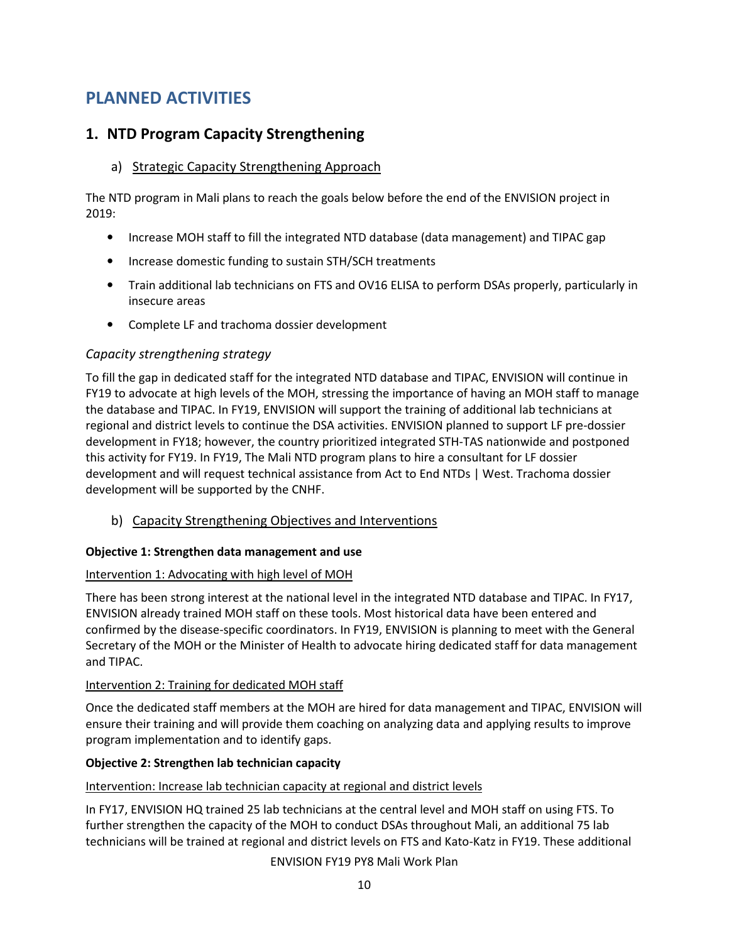# PLANNED ACTIVITIES

## 1. NTD Program Capacity Strengthening

#### a) Strategic Capacity Strengthening Approach

The NTD program in Mali plans to reach the goals below before the end of the ENVISION project in 2019:

- Increase MOH staff to fill the integrated NTD database (data management) and TIPAC gap
- Increase domestic funding to sustain STH/SCH treatments
- Train additional lab technicians on FTS and OV16 ELISA to perform DSAs properly, particularly in insecure areas
- Complete LF and trachoma dossier development

#### Capacity strengthening strategy

To fill the gap in dedicated staff for the integrated NTD database and TIPAC, ENVISION will continue in FY19 to advocate at high levels of the MOH, stressing the importance of having an MOH staff to manage the database and TIPAC. In FY19, ENVISION will support the training of additional lab technicians at regional and district levels to continue the DSA activities. ENVISION planned to support LF pre-dossier development in FY18; however, the country prioritized integrated STH-TAS nationwide and postponed this activity for FY19. In FY19, The Mali NTD program plans to hire a consultant for LF dossier development and will request technical assistance from Act to End NTDs | West. Trachoma dossier development will be supported by the CNHF.

b) Capacity Strengthening Objectives and Interventions

#### Objective 1: Strengthen data management and use

#### Intervention 1: Advocating with high level of MOH

There has been strong interest at the national level in the integrated NTD database and TIPAC. In FY17, ENVISION already trained MOH staff on these tools. Most historical data have been entered and confirmed by the disease-specific coordinators. In FY19, ENVISION is planning to meet with the General Secretary of the MOH or the Minister of Health to advocate hiring dedicated staff for data management and TIPAC.

#### Intervention 2: Training for dedicated MOH staff

Once the dedicated staff members at the MOH are hired for data management and TIPAC, ENVISION will ensure their training and will provide them coaching on analyzing data and applying results to improve program implementation and to identify gaps.

#### Objective 2: Strengthen lab technician capacity

#### Intervention: Increase lab technician capacity at regional and district levels

In FY17, ENVISION HQ trained 25 lab technicians at the central level and MOH staff on using FTS. To further strengthen the capacity of the MOH to conduct DSAs throughout Mali, an additional 75 lab technicians will be trained at regional and district levels on FTS and Kato-Katz in FY19. These additional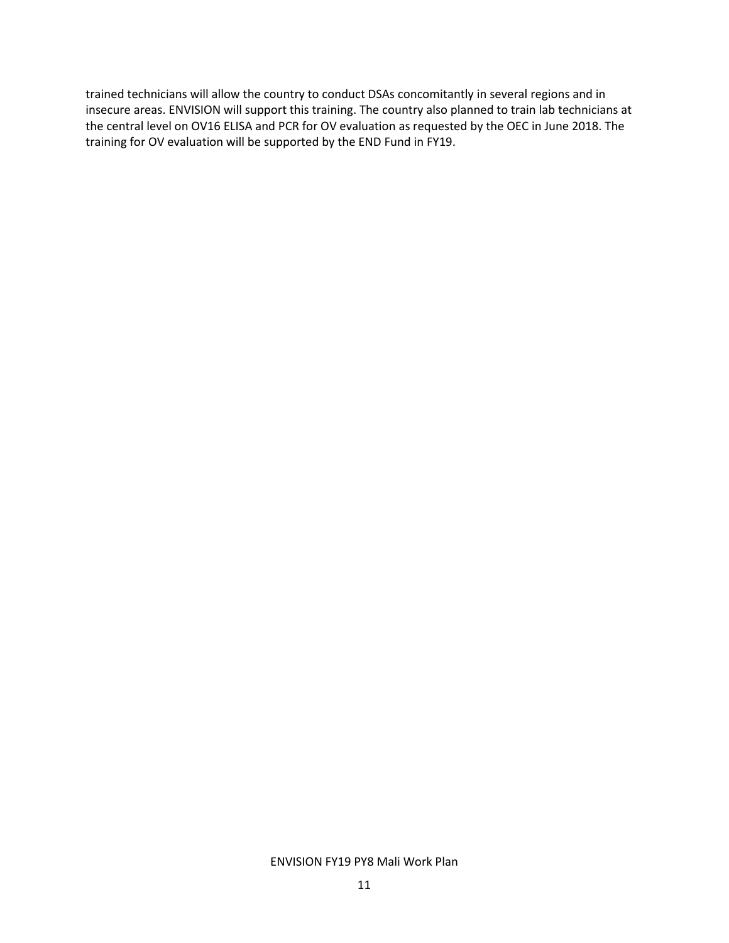trained technicians will allow the country to conduct DSAs concomitantly in several regions and in insecure areas. ENVISION will support this training. The country also planned to train lab technicians at the central level on OV16 ELISA and PCR for OV evaluation as requested by the OEC in June 2018. The training for OV evaluation will be supported by the END Fund in FY19.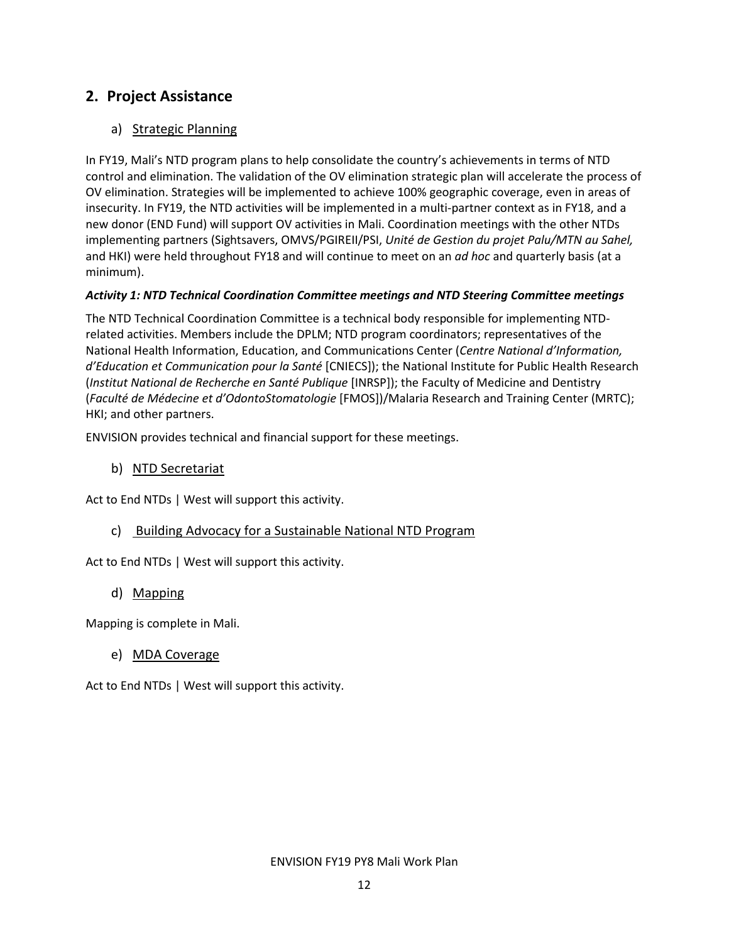## 2. Project Assistance

#### a) Strategic Planning

In FY19, Mali's NTD program plans to help consolidate the country's achievements in terms of NTD control and elimination. The validation of the OV elimination strategic plan will accelerate the process of OV elimination. Strategies will be implemented to achieve 100% geographic coverage, even in areas of insecurity. In FY19, the NTD activities will be implemented in a multi-partner context as in FY18, and a new donor (END Fund) will support OV activities in Mali. Coordination meetings with the other NTDs implementing partners (Sightsavers, OMVS/PGIREII/PSI, Unité de Gestion du projet Palu/MTN au Sahel, and HKI) were held throughout FY18 and will continue to meet on an *ad hoc* and quarterly basis (at a minimum).

#### Activity 1: NTD Technical Coordination Committee meetings and NTD Steering Committee meetings

The NTD Technical Coordination Committee is a technical body responsible for implementing NTDrelated activities. Members include the DPLM; NTD program coordinators; representatives of the National Health Information, Education, and Communications Center (Centre National d'Information, d'Education et Communication pour la Santé [CNIECS]); the National Institute for Public Health Research (Institut National de Recherche en Santé Publique [INRSP]); the Faculty of Medicine and Dentistry (Faculté de Médecine et d'OdontoStomatologie [FMOS])/Malaria Research and Training Center (MRTC); HKI; and other partners.

ENVISION provides technical and financial support for these meetings.

b) NTD Secretariat

Act to End NTDs | West will support this activity.

c) Building Advocacy for a Sustainable National NTD Program

Act to End NTDs | West will support this activity.

#### d) Mapping

Mapping is complete in Mali.

#### e) MDA Coverage

Act to End NTDs | West will support this activity.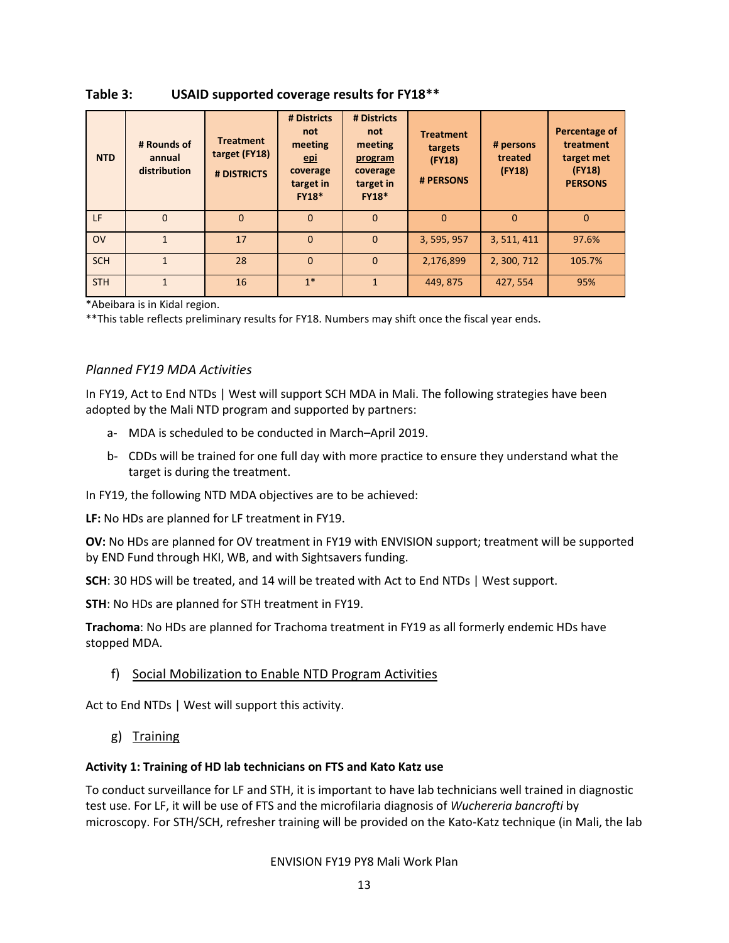| <b>NTD</b> | # Rounds of<br>annual<br>distribution | <b>Treatment</b><br>target (FY18)<br># DISTRICTS | # Districts<br>not<br>meeting<br><u>epi</u><br>coverage<br>target in<br><b>FY18*</b> | # Districts<br>not<br>meeting<br>program<br>coverage<br>target in<br><b>FY18*</b> | <b>Treatment</b><br>targets<br>(FY18)<br># PERSONS | # persons<br>treated<br>(FY18) | Percentage of<br>treatment<br>target met<br>(FY18)<br><b>PERSONS</b> |
|------------|---------------------------------------|--------------------------------------------------|--------------------------------------------------------------------------------------|-----------------------------------------------------------------------------------|----------------------------------------------------|--------------------------------|----------------------------------------------------------------------|
| LF         | $\Omega$                              | $\Omega$                                         | $\Omega$                                                                             | $\Omega$                                                                          | $\Omega$                                           | $\Omega$                       | $\Omega$                                                             |
| <b>OV</b>  |                                       | 17                                               | $\Omega$                                                                             | $\Omega$                                                                          | 3, 595, 957                                        | 3, 511, 411                    | 97.6%                                                                |
| <b>SCH</b> | $\mathbf{1}$                          | 28                                               | $\Omega$                                                                             | $\Omega$                                                                          | 2,176,899                                          | 2, 300, 712                    | 105.7%                                                               |
| <b>STH</b> |                                       | 16                                               | $1*$                                                                                 |                                                                                   | 449, 875                                           | 427, 554                       | 95%                                                                  |

Table 3: USAID supported coverage results for FY18\*\*

\*Abeibara is in Kidal region.

\*\*This table reflects preliminary results for FY18. Numbers may shift once the fiscal year ends.

#### Planned FY19 MDA Activities

In FY19, Act to End NTDs | West will support SCH MDA in Mali. The following strategies have been adopted by the Mali NTD program and supported by partners:

- a- MDA is scheduled to be conducted in March–April 2019.
- b- CDDs will be trained for one full day with more practice to ensure they understand what the target is during the treatment.
- In FY19, the following NTD MDA objectives are to be achieved:

LF: No HDs are planned for LF treatment in FY19.

OV: No HDs are planned for OV treatment in FY19 with ENVISION support; treatment will be supported by END Fund through HKI, WB, and with Sightsavers funding.

SCH: 30 HDS will be treated, and 14 will be treated with Act to End NTDs | West support.

STH: No HDs are planned for STH treatment in FY19.

Trachoma: No HDs are planned for Trachoma treatment in FY19 as all formerly endemic HDs have stopped MDA.

#### f) Social Mobilization to Enable NTD Program Activities

Act to End NTDs | West will support this activity.

g) Training

#### Activity 1: Training of HD lab technicians on FTS and Kato Katz use

To conduct surveillance for LF and STH, it is important to have lab technicians well trained in diagnostic test use. For LF, it will be use of FTS and the microfilaria diagnosis of Wuchereria bancrofti by microscopy. For STH/SCH, refresher training will be provided on the Kato-Katz technique (in Mali, the lab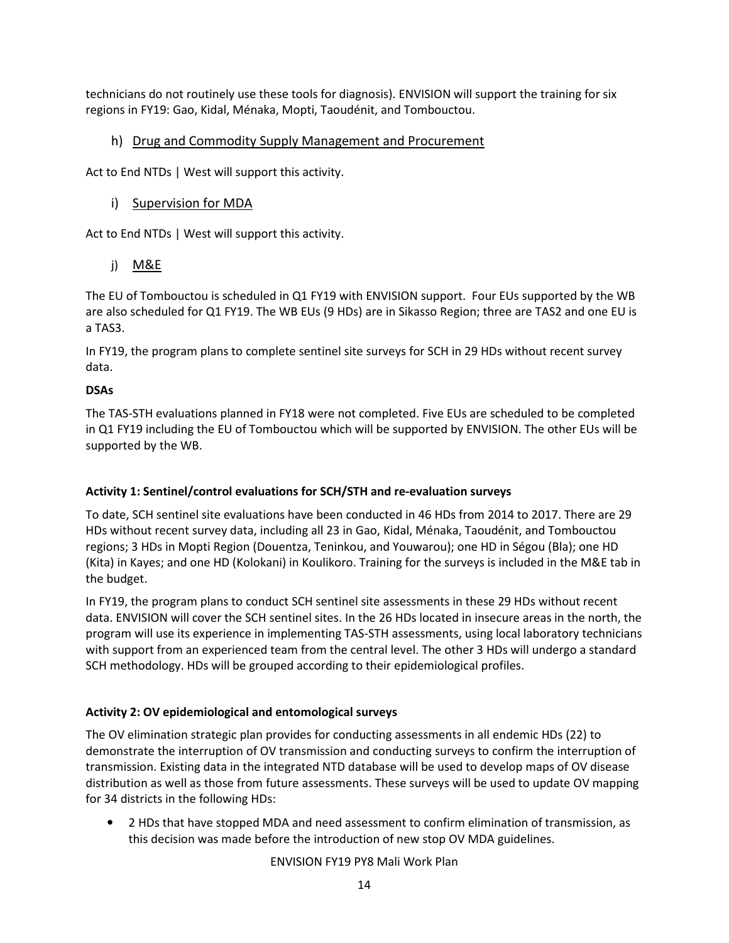technicians do not routinely use these tools for diagnosis). ENVISION will support the training for six regions in FY19: Gao, Kidal, Ménaka, Mopti, Taoudénit, and Tombouctou.

#### h) Drug and Commodity Supply Management and Procurement

Act to End NTDs | West will support this activity.

#### i) Supervision for MDA

Act to End NTDs | West will support this activity.

j) M&E

The EU of Tombouctou is scheduled in Q1 FY19 with ENVISION support. Four EUs supported by the WB are also scheduled for Q1 FY19. The WB EUs (9 HDs) are in Sikasso Region; three are TAS2 and one EU is a TAS3.

In FY19, the program plans to complete sentinel site surveys for SCH in 29 HDs without recent survey data.

#### DSAs

The TAS-STH evaluations planned in FY18 were not completed. Five EUs are scheduled to be completed in Q1 FY19 including the EU of Tombouctou which will be supported by ENVISION. The other EUs will be supported by the WB.

#### Activity 1: Sentinel/control evaluations for SCH/STH and re-evaluation surveys

To date, SCH sentinel site evaluations have been conducted in 46 HDs from 2014 to 2017. There are 29 HDs without recent survey data, including all 23 in Gao, Kidal, Ménaka, Taoudénit, and Tombouctou regions; 3 HDs in Mopti Region (Douentza, Teninkou, and Youwarou); one HD in Ségou (Bla); one HD (Kita) in Kayes; and one HD (Kolokani) in Koulikoro. Training for the surveys is included in the M&E tab in the budget.

In FY19, the program plans to conduct SCH sentinel site assessments in these 29 HDs without recent data. ENVISION will cover the SCH sentinel sites. In the 26 HDs located in insecure areas in the north, the program will use its experience in implementing TAS-STH assessments, using local laboratory technicians with support from an experienced team from the central level. The other 3 HDs will undergo a standard SCH methodology. HDs will be grouped according to their epidemiological profiles.

#### Activity 2: OV epidemiological and entomological surveys

The OV elimination strategic plan provides for conducting assessments in all endemic HDs (22) to demonstrate the interruption of OV transmission and conducting surveys to confirm the interruption of transmission. Existing data in the integrated NTD database will be used to develop maps of OV disease distribution as well as those from future assessments. These surveys will be used to update OV mapping for 34 districts in the following HDs:

• 2 HDs that have stopped MDA and need assessment to confirm elimination of transmission, as this decision was made before the introduction of new stop OV MDA guidelines.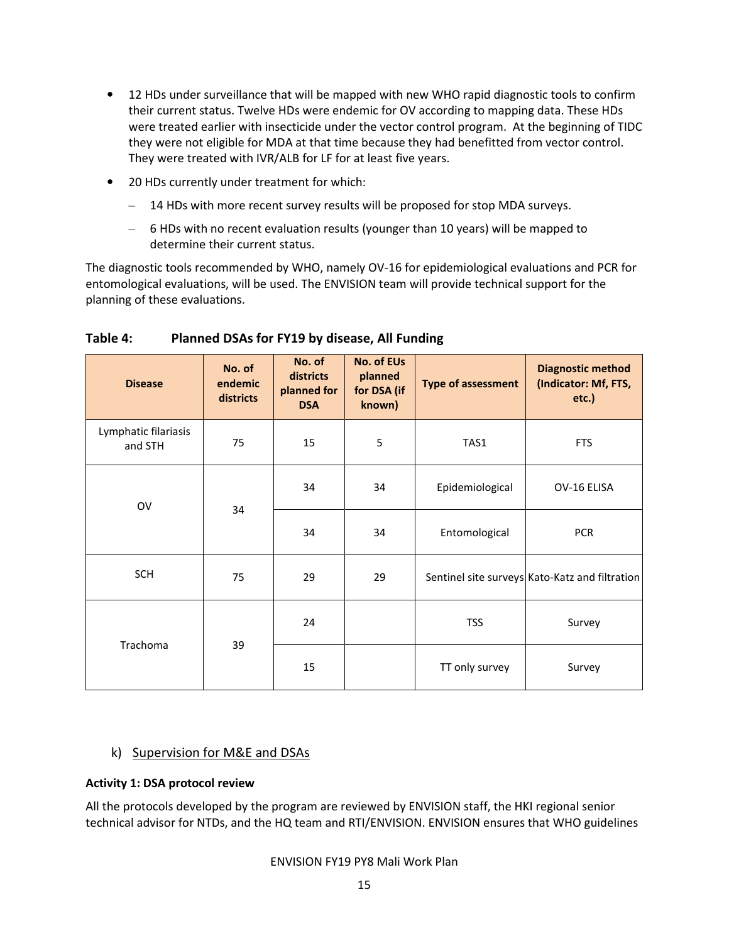- 12 HDs under surveillance that will be mapped with new WHO rapid diagnostic tools to confirm their current status. Twelve HDs were endemic for OV according to mapping data. These HDs were treated earlier with insecticide under the vector control program. At the beginning of TIDC they were not eligible for MDA at that time because they had benefitted from vector control. They were treated with IVR/ALB for LF for at least five years.
- 20 HDs currently under treatment for which:
	- 14 HDs with more recent survey results will be proposed for stop MDA surveys.
	- ‒ 6 HDs with no recent evaluation results (younger than 10 years) will be mapped to determine their current status.

The diagnostic tools recommended by WHO, namely OV-16 for epidemiological evaluations and PCR for entomological evaluations, will be used. The ENVISION team will provide technical support for the planning of these evaluations.

| <b>Disease</b>                  | No. of<br>endemic<br>districts | No. of<br>districts<br>planned for<br><b>DSA</b> | <b>No. of EUs</b><br>planned<br>for DSA (if<br>known) | <b>Type of assessment</b> | <b>Diagnostic method</b><br>(Indicator: Mf, FTS,<br>etc.) |
|---------------------------------|--------------------------------|--------------------------------------------------|-------------------------------------------------------|---------------------------|-----------------------------------------------------------|
| Lymphatic filariasis<br>and STH | 75                             | 15                                               | 5                                                     | TAS1                      | <b>FTS</b>                                                |
| OV                              | 34                             | 34                                               | 34                                                    | Epidemiological           | OV-16 ELISA                                               |
|                                 |                                | 34                                               | 34                                                    | Entomological             | <b>PCR</b>                                                |
| <b>SCH</b>                      | 75                             | 29                                               | 29                                                    |                           | Sentinel site surveys Kato-Katz and filtration            |
| Trachoma                        | 39                             | 24                                               |                                                       | <b>TSS</b>                | Survey                                                    |
|                                 |                                | 15                                               |                                                       | TT only survey            | Survey                                                    |

#### Table 4: Planned DSAs for FY19 by disease, All Funding

#### k) Supervision for M&E and DSAs

#### Activity 1: DSA protocol review

All the protocols developed by the program are reviewed by ENVISION staff, the HKI regional senior technical advisor for NTDs, and the HQ team and RTI/ENVISION. ENVISION ensures that WHO guidelines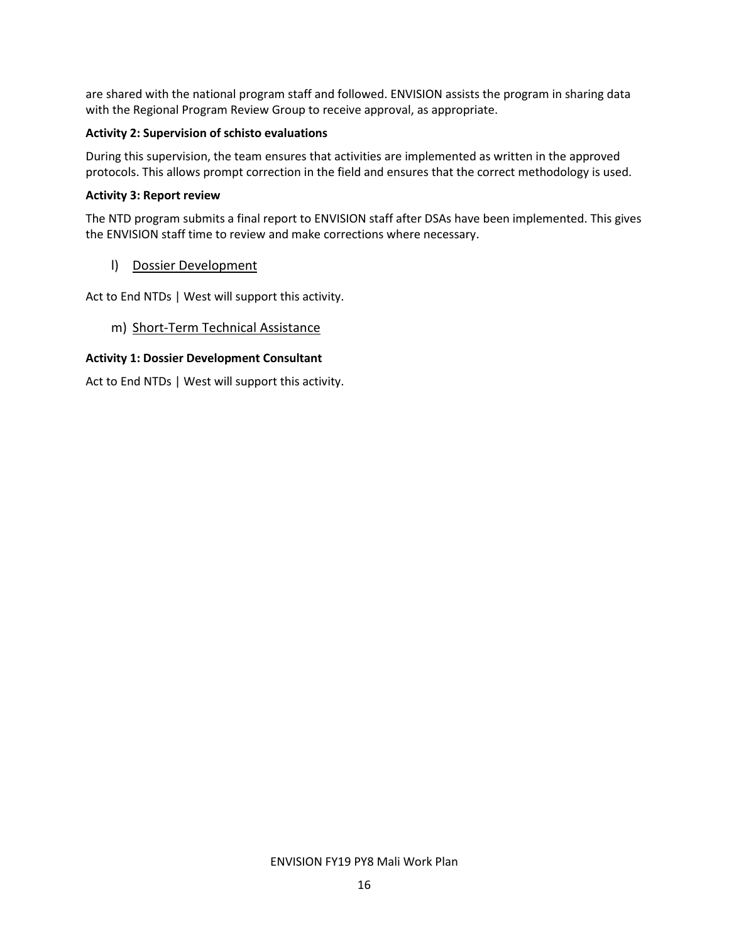are shared with the national program staff and followed. ENVISION assists the program in sharing data with the Regional Program Review Group to receive approval, as appropriate.

#### Activity 2: Supervision of schisto evaluations

During this supervision, the team ensures that activities are implemented as written in the approved protocols. This allows prompt correction in the field and ensures that the correct methodology is used.

#### Activity 3: Report review

The NTD program submits a final report to ENVISION staff after DSAs have been implemented. This gives the ENVISION staff time to review and make corrections where necessary.

#### l) Dossier Development

Act to End NTDs | West will support this activity.

m) Short-Term Technical Assistance

#### Activity 1: Dossier Development Consultant

Act to End NTDs | West will support this activity.